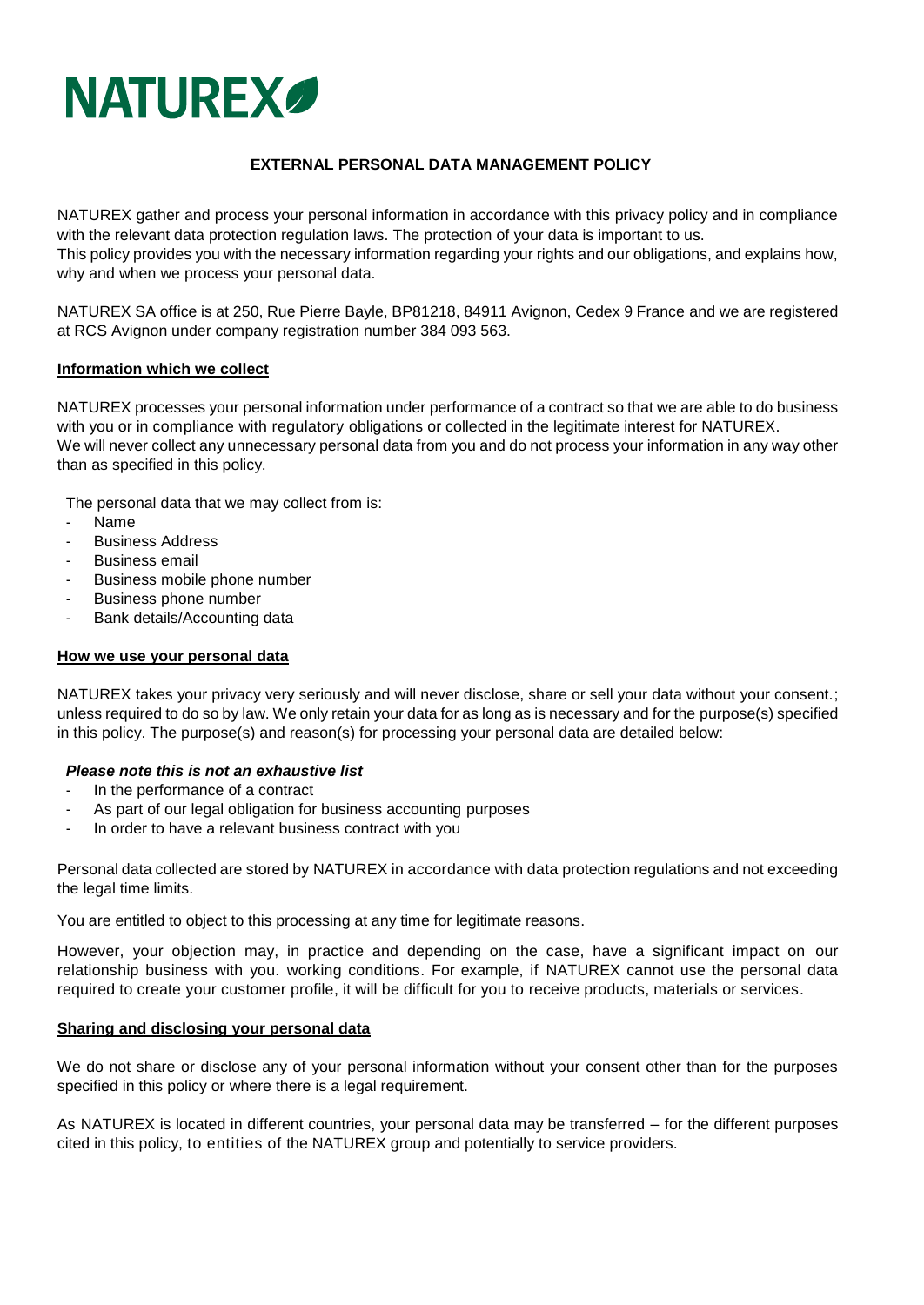

# **EXTERNAL PERSONAL DATA MANAGEMENT POLICY**

NATUREX gather and process your personal information in accordance with this privacy policy and in compliance with the relevant data protection regulation laws. The protection of your data is important to us. This policy provides you with the necessary information regarding your rights and our obligations, and explains how, why and when we process your personal data.

NATUREX SA office is at 250, Rue Pierre Bayle, BP81218, 84911 Avignon, Cedex 9 France and we are registered at RCS Avignon under company registration number 384 093 563.

## **Information which we collect**

NATUREX processes your personal information under performance of a contract so that we are able to do business with you or in compliance with regulatory obligations or collected in the legitimate interest for NATUREX. We will never collect any unnecessary personal data from you and do not process your information in any way other than as specified in this policy.

The personal data that we may collect from is:

- Name
- Business Address
- Business email
- Business mobile phone number
- Business phone number
- Bank details/Accounting data

## **How we use your personal data**

NATUREX takes your privacy very seriously and will never disclose, share or sell your data without your consent.; unless required to do so by law. We only retain your data for as long as is necessary and for the purpose(s) specified in this policy. The purpose(s) and reason(s) for processing your personal data are detailed below:

## *Please note this is not an exhaustive list*

- In the performance of a contract
- As part of our legal obligation for business accounting purposes
- In order to have a relevant business contract with you

Personal data collected are stored by NATUREX in accordance with data protection regulations and not exceeding the legal time limits.

You are entitled to object to this processing at any time for legitimate reasons.

However, your objection may, in practice and depending on the case, have a significant impact on our relationship business with you. working conditions. For example, if NATUREX cannot use the personal data required to create your customer profile, it will be difficult for you to receive products, materials or services.

## **Sharing and disclosing your personal data**

We do not share or disclose any of your personal information without your consent other than for the purposes specified in this policy or where there is a legal requirement.

As NATUREX is located in different countries, your personal data may be transferred – for the different purposes cited in this policy, to entities of the NATUREX group and potentially to service providers.